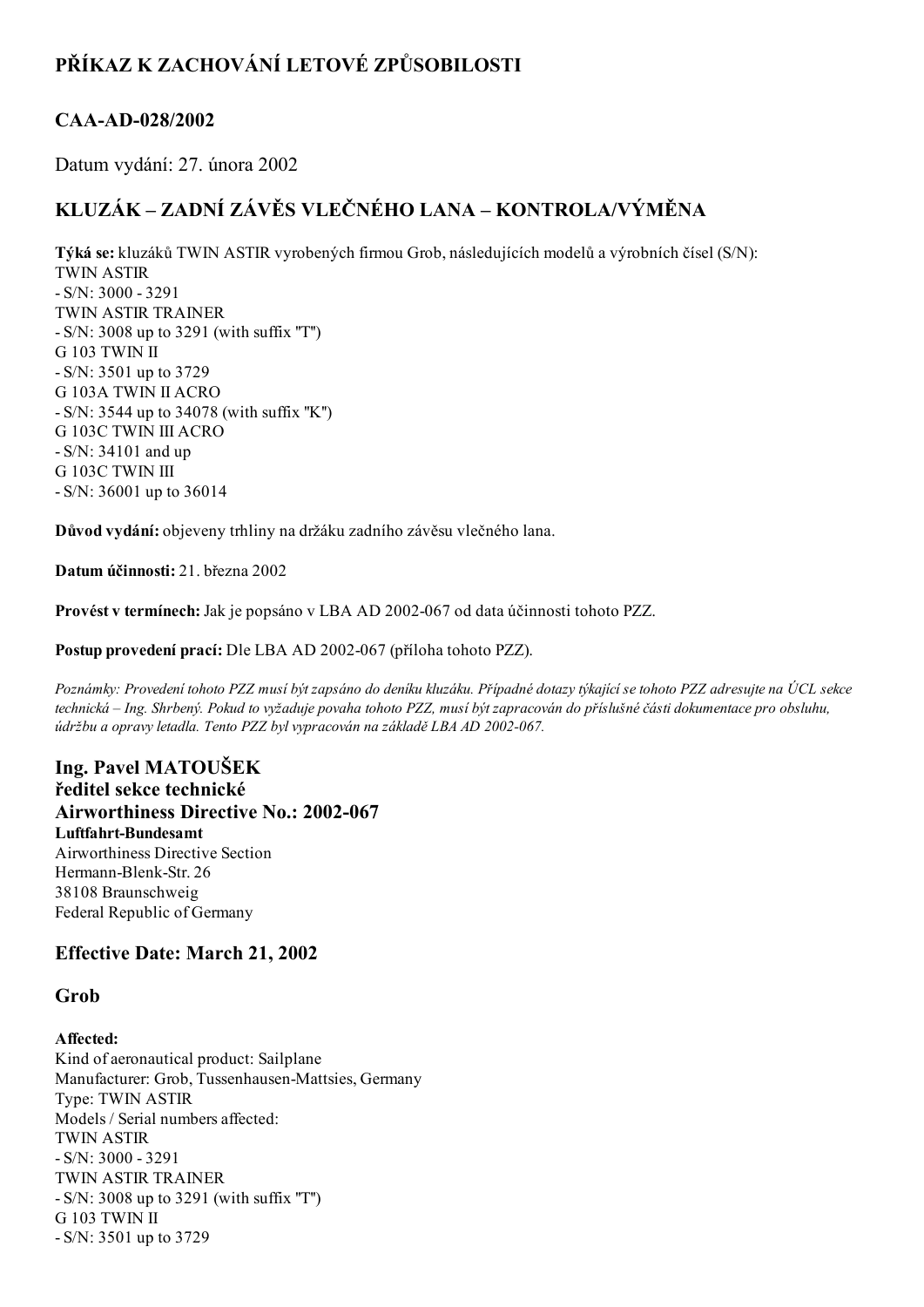## PŘÍKAZ K ZACHOVÁNÍ LETOVÉ ZPŮSOBILOSTI

## CAA-AD-028/2002

Datum vydání: 27. února 2002

# KLUZÁK – ZADNÍ ZÁVĚS VLEČNÉHO LANA – KONTROLA/VÝMĚNA

Týká se: kluzáků TWIN ASTIR vyrobených firmou Grob, následujících modelů a výrobních čísel (S/N): TWIN ASTIR  $-S/N: 3000 - 3291$ TWIN ASTIR TRAINER S/N: 3008 up to 3291 (with suffix ''T'') G 103 TWIN II S/N: 3501 up to 3729 G 103A TWIN II ACRO S/N: 3544 up to 34078 (with suffix ''K'') G 103C TWIN III ACRO S/N: 34101 and up G 103C TWIN III

Důvod vydání: objeveny trhliny na držáku zadního závěsu vlečného lana.

Datum účinnosti: 21. března 2002

S/N: 36001 up to 36014

Provést v termínech: Jak je popsáno v LBA AD 2002-067 od data účinnosti tohoto PZZ.

Postup provedení prací: Dle LBA AD 2002-067 (příloha tohoto PZZ).

Poznámky: Provedení tohoto PZZ musí být zapsáno do deníku kluzáku. Případné dotazy týkající se tohoto PZZ adresujte na ÚCL sekce technická – Ing. Shrbený. Pokud to vyžaduje povaha tohoto PZZ, musí být zapracován do příslušné části dokumentace pro obsluhu, údržbu a opravy letadla. Tento PZZ byl vypracován na základě LBA AD 2002-067.

### Ing. Pavel MATOUŠEK ředitel sekce technické Airworthiness Directive No.: 2002-067 Luftfahrt-Bundesamt Airworthiness Directive Section Hermann-Blenk-Str. 26 38108 Braunschweig Federal Republic of Germany

## Effective Date: March 21, 2002

## Grob

#### Affected:

Kind of aeronautical product: Sailplane Manufacturer: Grob, Tussenhausen-Mattsies, Germany Type: TWIN ASTIR Models / Serial numbers affected: TWIN ASTIR  $-S/N: 3000 - 3291$ TWIN ASTIR TRAINER S/N: 3008 up to 3291 (with suffix ''T'') G 103 TWIN II S/N: 3501 up to 3729